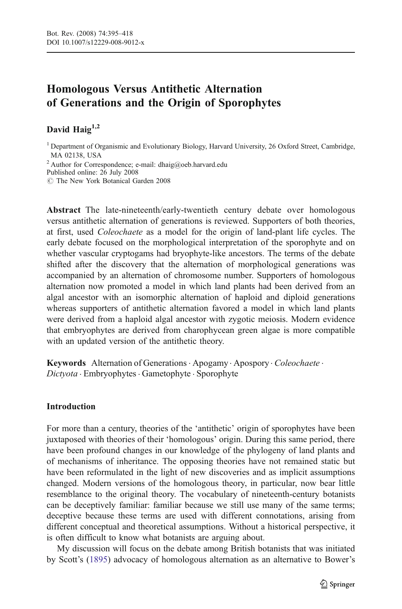# Homologous Versus Antithetic Alternation of Generations and the Origin of Sporophytes

# David Haig $1,2$

<sup>1</sup> Department of Organismic and Evolutionary Biology, Harvard University, 26 Oxford Street, Cambridge, MA 02138, USA  $^2$  Author for Correspondence; e-mail: dhaig@oeb.harvard.edu

Published online: 26 July 2008

 $\degree$  The New York Botanical Garden 2008

Abstract The late-nineteenth/early-twentieth century debate over homologous versus antithetic alternation of generations is reviewed. Supporters of both theories, at first, used Coleochaete as a model for the origin of land-plant life cycles. The early debate focused on the morphological interpretation of the sporophyte and on whether vascular cryptogams had bryophyte-like ancestors. The terms of the debate shifted after the discovery that the alternation of morphological generations was accompanied by an alternation of chromosome number. Supporters of homologous alternation now promoted a model in which land plants had been derived from an algal ancestor with an isomorphic alternation of haploid and diploid generations whereas supporters of antithetic alternation favored a model in which land plants were derived from a haploid algal ancestor with zygotic meiosis. Modern evidence that embryophytes are derived from charophycean green algae is more compatible with an updated version of the antithetic theory.

Keywords Alternation of Generations . Apogamy . Apospory . Coleochaete . Dictyota . Embryophytes . Gametophyte . Sporophyte

# Introduction

For more than a century, theories of the 'antithetic' origin of sporophytes have been juxtaposed with theories of their 'homologous' origin. During this same period, there have been profound changes in our knowledge of the phylogeny of land plants and of mechanisms of inheritance. The opposing theories have not remained static but have been reformulated in the light of new discoveries and as implicit assumptions changed. Modern versions of the homologous theory, in particular, now bear little resemblance to the original theory. The vocabulary of nineteenth-century botanists can be deceptively familiar: familiar because we still use many of the same terms; deceptive because these terms are used with different connotations, arising from different conceptual and theoretical assumptions. Without a historical perspective, it is often difficult to know what botanists are arguing about.

My discussion will focus on the debate among British botanists that was initiated by Scott's ([1895\)](#page-22-0) advocacy of homologous alternation as an alternative to Bower's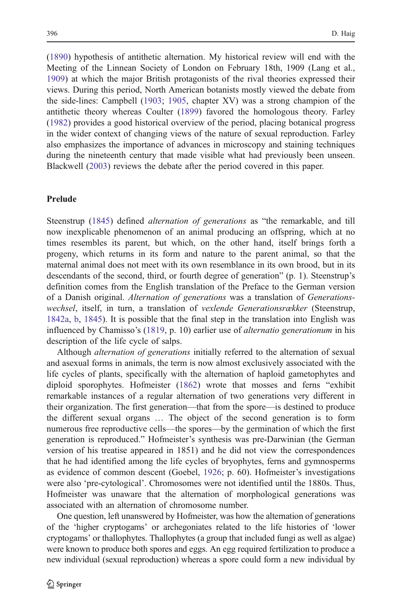[\(1890](#page-20-0)) hypothesis of antithetic alternation. My historical review will end with the Meeting of the Linnean Society of London on February 18th, 1909 (Lang et al., [1909\)](#page-21-0) at which the major British protagonists of the rival theories expressed their views. During this period, North American botanists mostly viewed the debate from the side-lines: Campbell [\(1903](#page-20-0); [1905,](#page-20-0) chapter XV) was a strong champion of the antithetic theory whereas Coulter [\(1899](#page-20-0)) favored the homologous theory. Farley [\(1982](#page-21-0)) provides a good historical overview of the period, placing botanical progress in the wider context of changing views of the nature of sexual reproduction. Farley also emphasizes the importance of advances in microscopy and staining techniques during the nineteenth century that made visible what had previously been unseen. Blackwell ([2003\)](#page-20-0) reviews the debate after the period covered in this paper.

### Prelude

Steenstrup [\(1845](#page-22-0)) defined alternation of generations as "the remarkable, and till now inexplicable phenomenon of an animal producing an offspring, which at no times resembles its parent, but which, on the other hand, itself brings forth a progeny, which returns in its form and nature to the parent animal, so that the maternal animal does not meet with its own resemblance in its own brood, but in its descendants of the second, third, or fourth degree of generation" (p. 1). Steenstrup's definition comes from the English translation of the Preface to the German version of a Danish original. Alternation of generations was a translation of Generationswechsel, itself, in turn, a translation of vexlende Generationsrækker (Steenstrup, [1842a](#page-22-0), [b](#page-22-0), [1845\)](#page-22-0). It is possible that the final step in the translation into English was influenced by Chamisso's [\(1819](#page-20-0), p. 10) earlier use of alternatio generationum in his description of the life cycle of salps.

Although *alternation of generations* initially referred to the alternation of sexual and asexual forms in animals, the term is now almost exclusively associated with the life cycles of plants, specifically with the alternation of haploid gametophytes and diploid sporophytes. Hofmeister ([1862\)](#page-21-0) wrote that mosses and ferns "exhibit remarkable instances of a regular alternation of two generations very different in their organization. The first generation—that from the spore—is destined to produce the different sexual organs … The object of the second generation is to form numerous free reproductive cells—the spores—by the germination of which the first generation is reproduced." Hofmeister's synthesis was pre-Darwinian (the German version of his treatise appeared in 1851) and he did not view the correspondences that he had identified among the life cycles of bryophytes, ferns and gymnosperms as evidence of common descent (Goebel, [1926](#page-21-0); p. 60). Hofmeister's investigations were also 'pre-cytological'. Chromosomes were not identified until the 1880s. Thus, Hofmeister was unaware that the alternation of morphological generations was associated with an alternation of chromosome number.

One question, left unanswered by Hofmeister, was how the alternation of generations of the 'higher cryptogams' or archegoniates related to the life histories of 'lower cryptogams' or thallophytes. Thallophytes (a group that included fungi as well as algae) were known to produce both spores and eggs. An egg required fertilization to produce a new individual (sexual reproduction) whereas a spore could form a new individual by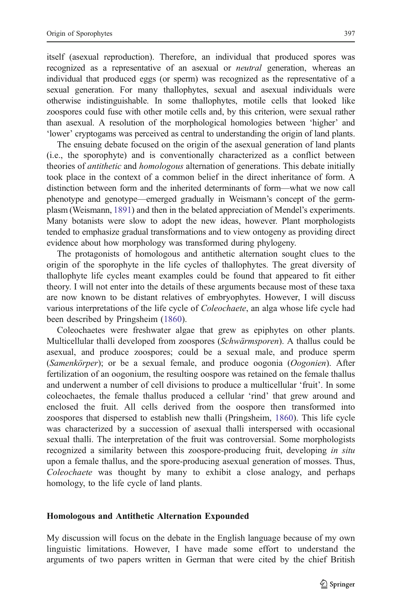itself (asexual reproduction). Therefore, an individual that produced spores was recognized as a representative of an asexual or neutral generation, whereas an individual that produced eggs (or sperm) was recognized as the representative of a sexual generation. For many thallophytes, sexual and asexual individuals were otherwise indistinguishable. In some thallophytes, motile cells that looked like zoospores could fuse with other motile cells and, by this criterion, were sexual rather than asexual. A resolution of the morphological homologies between 'higher' and 'lower' cryptogams was perceived as central to understanding the origin of land plants.

The ensuing debate focused on the origin of the asexual generation of land plants (i.e., the sporophyte) and is conventionally characterized as a conflict between theories of *antithetic* and *homologous* alternation of generations. This debate initially took place in the context of a common belief in the direct inheritance of form. A distinction between form and the inherited determinants of form—what we now call phenotype and genotype—emerged gradually in Weismann's concept of the germplasm (Weismann, [1891\)](#page-23-0) and then in the belated appreciation of Mendel's experiments. Many botanists were slow to adopt the new ideas, however. Plant morphologists tended to emphasize gradual transformations and to view ontogeny as providing direct evidence about how morphology was transformed during phylogeny.

The protagonists of homologous and antithetic alternation sought clues to the origin of the sporophyte in the life cycles of thallophytes. The great diversity of thallophyte life cycles meant examples could be found that appeared to fit either theory. I will not enter into the details of these arguments because most of these taxa are now known to be distant relatives of embryophytes. However, I will discuss various interpretations of the life cycle of Coleochaete, an alga whose life cycle had been described by Pringsheim ([1860\)](#page-21-0).

Coleochaetes were freshwater algae that grew as epiphytes on other plants. Multicellular thalli developed from zoospores (Schwärmsporen). A thallus could be asexual, and produce zoospores; could be a sexual male, and produce sperm (Samenkörper); or be a sexual female, and produce oogonia (Oogonien). After fertilization of an oogonium, the resulting oospore was retained on the female thallus and underwent a number of cell divisions to produce a multicellular 'fruit'. In some coleochaetes, the female thallus produced a cellular 'rind' that grew around and enclosed the fruit. All cells derived from the oospore then transformed into zoospores that dispersed to establish new thalli (Pringsheim, [1860\)](#page-21-0). This life cycle was characterized by a succession of asexual thalli interspersed with occasional sexual thalli. The interpretation of the fruit was controversial. Some morphologists recognized a similarity between this zoospore-producing fruit, developing in situ upon a female thallus, and the spore-producing asexual generation of mosses. Thus, Coleochaete was thought by many to exhibit a close analogy, and perhaps homology, to the life cycle of land plants.

### Homologous and Antithetic Alternation Expounded

My discussion will focus on the debate in the English language because of my own linguistic limitations. However, I have made some effort to understand the arguments of two papers written in German that were cited by the chief British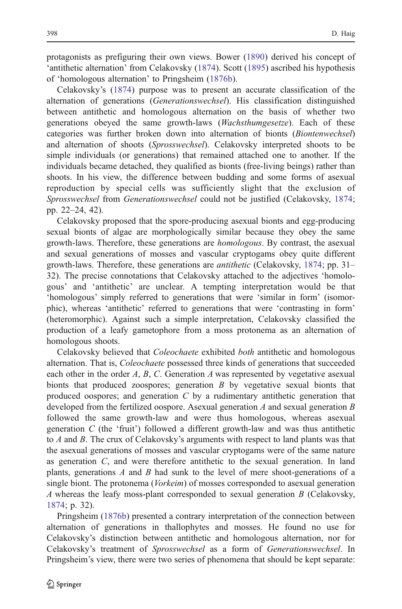protagonists as prefiguring their own views. Bower [\(1890](#page-20-0)) derived his concept of 'antithetic alternation' from Celakovsky ([1874\)](#page-20-0). Scott [\(1895](#page-22-0)) ascribed his hypothesis of 'homologous alternation' to Pringsheim [\(1876b](#page-22-0)).

Celakovsky's ([1874\)](#page-20-0) purpose was to present an accurate classification of the alternation of generations (Generationswechsel). His classification distinguished between antithetic and homologous alternation on the basis of whether two generations obeyed the same growth-laws (Wachsthumgesetze). Each of these categories was further broken down into alternation of bionts (Biontenwechsel) and alternation of shoots (Sprosswechsel). Celakovsky interpreted shoots to be simple individuals (or generations) that remained attached one to another. If the individuals became detached, they qualified as bionts (free-living beings) rather than shoots. In his view, the difference between budding and some forms of asexual reproduction by special cells was sufficiently slight that the exclusion of Sprosswechsel from Generationswechsel could not be justified (Celakovsky, [1874;](#page-20-0) pp. 22–24, 42).

Celakovsky proposed that the spore-producing asexual bionts and egg-producing sexual bionts of algae are morphologically similar because they obey the same growth-laws. Therefore, these generations are homologous. By contrast, the asexual and sexual generations of mosses and vascular cryptogams obey quite different growth-laws. Therefore, these generations are antithetic (Celakovsky, [1874](#page-20-0); pp. 31– 32). The precise connotations that Celakovsky attached to the adjectives 'homologous' and 'antithetic' are unclear. A tempting interpretation would be that 'homologous' simply referred to generations that were 'similar in form' (isomorphic), whereas 'antithetic' referred to generations that were 'contrasting in form' (heteromorphic). Against such a simple interpretation, Celakovsky classified the production of a leafy gametophore from a moss protonema as an alternation of homologous shoots.

Celakovsky believed that Coleochaete exhibited both antithetic and homologous alternation. That is, Coleochaete possessed three kinds of generations that succeeded each other in the order A, B, C. Generation A was represented by vegetative asexual bionts that produced zoospores; generation B by vegetative sexual bionts that produced oospores; and generation  $C$  by a rudimentary antithetic generation that developed from the fertilized oospore. Asexual generation  $A$  and sexual generation  $B$ followed the same growth-law and were thus homologous, whereas asexual generation C (the 'fruit') followed a different growth-law and was thus antithetic to A and B. The crux of Celakovsky's arguments with respect to land plants was that the asexual generations of mosses and vascular cryptogams were of the same nature as generation C, and were therefore antithetic to the sexual generation. In land plants, generations A and B had sunk to the level of mere shoot-generations of a single biont. The protonema (*Vorkeim*) of mosses corresponded to asexual generation A whereas the leafy moss-plant corresponded to sexual generation  $B$  (Celakovsky, [1874;](#page-20-0) p. 32).

Pringsheim [\(1876b](#page-22-0)) presented a contrary interpretation of the connection between alternation of generations in thallophytes and mosses. He found no use for Celakovsky's distinction between antithetic and homologous alternation, nor for Celakovsky's treatment of Sprosswechsel as a form of Generationswechsel. In Pringsheim's view, there were two series of phenomena that should be kept separate: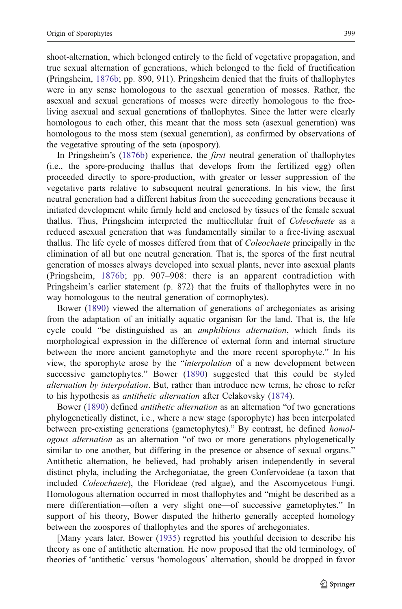shoot-alternation, which belonged entirely to the field of vegetative propagation, and true sexual alternation of generations, which belonged to the field of fructification (Pringsheim, [1876b;](#page-22-0) pp. 890, 911). Pringsheim denied that the fruits of thallophytes were in any sense homologous to the asexual generation of mosses. Rather, the asexual and sexual generations of mosses were directly homologous to the freeliving asexual and sexual generations of thallophytes. Since the latter were clearly homologous to each other, this meant that the moss seta (asexual generation) was homologous to the moss stem (sexual generation), as confirmed by observations of the vegetative sprouting of the seta (apospory).

In Pringsheim's [\(1876b](#page-22-0)) experience, the *first* neutral generation of thallophytes (i.e., the spore-producing thallus that develops from the fertilized egg) often proceeded directly to spore-production, with greater or lesser suppression of the vegetative parts relative to subsequent neutral generations. In his view, the first neutral generation had a different habitus from the succeeding generations because it initiated development while firmly held and enclosed by tissues of the female sexual thallus. Thus, Pringsheim interpreted the multicellular fruit of Coleochaete as a reduced asexual generation that was fundamentally similar to a free-living asexual thallus. The life cycle of mosses differed from that of Coleochaete principally in the elimination of all but one neutral generation. That is, the spores of the first neutral generation of mosses always developed into sexual plants, never into asexual plants (Pringsheim, [1876b](#page-22-0); pp. 907–908: there is an apparent contradiction with Pringsheim's earlier statement (p. 872) that the fruits of thallophytes were in no way homologous to the neutral generation of cormophytes).

Bower ([1890\)](#page-20-0) viewed the alternation of generations of archegoniates as arising from the adaptation of an initially aquatic organism for the land. That is, the life cycle could "be distinguished as an *amphibious alternation*, which finds its morphological expression in the difference of external form and internal structure between the more ancient gametophyte and the more recent sporophyte." In his view, the sporophyte arose by the "interpolation of a new development between successive gametophytes." Bower ([1890\)](#page-20-0) suggested that this could be styled alternation by interpolation. But, rather than introduce new terms, he chose to refer to his hypothesis as antithetic alternation after Celakovsky [\(1874](#page-20-0)).

Bower ([1890\)](#page-20-0) defined antithetic alternation as an alternation "of two generations phylogenetically distinct, i.e., where a new stage (sporophyte) has been interpolated between pre-existing generations (gametophytes)." By contrast, he defined homologous alternation as an alternation "of two or more generations phylogenetically similar to one another, but differing in the presence or absence of sexual organs." Antithetic alternation, he believed, had probably arisen independently in several distinct phyla, including the Archegoniatae, the green Confervoideae (a taxon that included Coleochaete), the Florideae (red algae), and the Ascomycetous Fungi. Homologous alternation occurred in most thallophytes and "might be described as a mere differentiation—often a very slight one—of successive gametophytes." In support of his theory, Bower disputed the hitherto generally accepted homology between the zoospores of thallophytes and the spores of archegoniates.

[Many years later, Bower ([1935\)](#page-20-0) regretted his youthful decision to describe his theory as one of antithetic alternation. He now proposed that the old terminology, of theories of 'antithetic' versus 'homologous' alternation, should be dropped in favor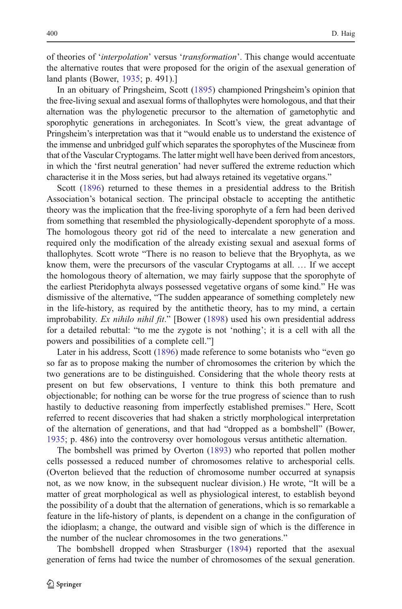of theories of 'interpolation' versus 'transformation'. This change would accentuate the alternative routes that were proposed for the origin of the asexual generation of land plants (Bower, [1935](#page-20-0); p. 491).]

In an obituary of Pringsheim, Scott [\(1895](#page-22-0)) championed Pringsheim's opinion that the free-living sexual and asexual forms of thallophytes were homologous, and that their alternation was the phylogenetic precursor to the alternation of gametophytic and sporophytic generations in archegoniates. In Scott's view, the great advantage of Pringsheim's interpretation was that it "would enable us to understand the existence of the immense and unbridged gulf which separates the sporophytes of the Muscineæ from that of the Vascular Cryptogams. The latter might well have been derived from ancestors, in which the 'first neutral generation' had never suffered the extreme reduction which characterise it in the Moss series, but had always retained its vegetative organs."

Scott ([1896](#page-22-0)) returned to these themes in a presidential address to the British Association's botanical section. The principal obstacle to accepting the antithetic theory was the implication that the free-living sporophyte of a fern had been derived from something that resembled the physiologically-dependent sporophyte of a moss. The homologous theory got rid of the need to intercalate a new generation and required only the modification of the already existing sexual and asexual forms of thallophytes. Scott wrote "There is no reason to believe that the Bryophyta, as we know them, were the precursors of the vascular Cryptogams at all. … If we accept the homologous theory of alternation, we may fairly suppose that the sporophyte of the earliest Pteridophyta always possessed vegetative organs of some kind." He was dismissive of the alternative, "The sudden appearance of something completely new in the life-history, as required by the antithetic theory, has to my mind, a certain improbability. Ex nihilo nihil fit." [Bower [\(1898\)](#page-20-0) used his own presidential address for a detailed rebuttal: "to me the zygote is not 'nothing'; it is a cell with all the powers and possibilities of a complete cell."]

Later in his address, Scott [\(1896\)](#page-22-0) made reference to some botanists who "even go so far as to propose making the number of chromosomes the criterion by which the two generations are to be distinguished. Considering that the whole theory rests at present on but few observations, I venture to think this both premature and objectionable; for nothing can be worse for the true progress of science than to rush hastily to deductive reasoning from imperfectly established premises." Here, Scott referred to recent discoveries that had shaken a strictly morphological interpretation of the alternation of generations, and that had "dropped as a bombshell" (Bower, [1935;](#page-20-0) p. 486) into the controversy over homologous versus antithetic alternation.

The bombshell was primed by Overton ([1893\)](#page-21-0) who reported that pollen mother cells possessed a reduced number of chromosomes relative to archesporial cells. (Overton believed that the reduction of chromosome number occurred at synapsis not, as we now know, in the subsequent nuclear division.) He wrote, "It will be a matter of great morphological as well as physiological interest, to establish beyond the possibility of a doubt that the alternation of generations, which is so remarkable a feature in the life-history of plants, is dependent on a change in the configuration of the idioplasm; a change, the outward and visible sign of which is the difference in the number of the nuclear chromosomes in the two generations."

The bombshell dropped when Strasburger ([1894\)](#page-22-0) reported that the asexual generation of ferns had twice the number of chromosomes of the sexual generation.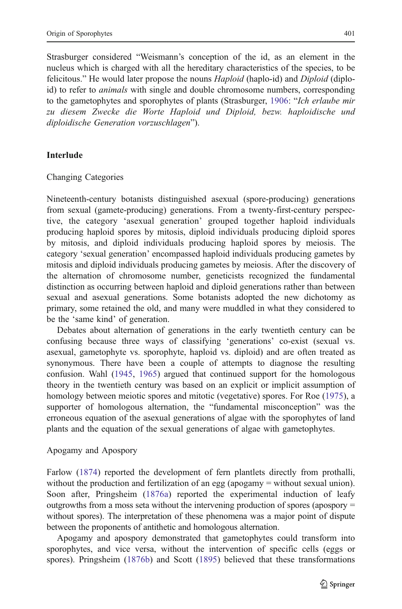Strasburger considered "Weismann's conception of the id, as an element in the nucleus which is charged with all the hereditary characteristics of the species, to be felicitous." He would later propose the nouns Haploid (haplo-id) and Diploid (diploid) to refer to *animals* with single and double chromosome numbers, corresponding to the gametophytes and sporophytes of plants (Strasburger, [1906](#page-22-0): "Ich erlaube mir zu diesem Zwecke die Worte Haploid und Diploid, bezw. haploidische und diploidische Generation vorzuschlagen").

### Interlude

Changing Categories

Nineteenth-century botanists distinguished asexual (spore-producing) generations from sexual (gamete-producing) generations. From a twenty-first-century perspective, the category 'asexual generation' grouped together haploid individuals producing haploid spores by mitosis, diploid individuals producing diploid spores by mitosis, and diploid individuals producing haploid spores by meiosis. The category 'sexual generation' encompassed haploid individuals producing gametes by mitosis and diploid individuals producing gametes by meiosis. After the discovery of the alternation of chromosome number, geneticists recognized the fundamental distinction as occurring between haploid and diploid generations rather than between sexual and asexual generations. Some botanists adopted the new dichotomy as primary, some retained the old, and many were muddled in what they considered to be the 'same kind' of generation.

Debates about alternation of generations in the early twentieth century can be confusing because three ways of classifying 'generations' co-exist (sexual vs. asexual, gametophyte vs. sporophyte, haploid vs. diploid) and are often treated as synonymous. There have been a couple of attempts to diagnose the resulting confusion. Wahl [\(1945](#page-23-0), [1965\)](#page-23-0) argued that continued support for the homologous theory in the twentieth century was based on an explicit or implicit assumption of homology between meiotic spores and mitotic (vegetative) spores. For Roe ([1975\)](#page-22-0), a supporter of homologous alternation, the "fundamental misconception" was the erroneous equation of the asexual generations of algae with the sporophytes of land plants and the equation of the sexual generations of algae with gametophytes.

### Apogamy and Apospory

Farlow ([1874\)](#page-21-0) reported the development of fern plantlets directly from prothalli, without the production and fertilization of an egg (apogamy = without sexual union). Soon after, Pringsheim ([1876a](#page-21-0)) reported the experimental induction of leafy outgrowths from a moss seta without the intervening production of spores (apospory = without spores). The interpretation of these phenomena was a major point of dispute between the proponents of antithetic and homologous alternation.

Apogamy and apospory demonstrated that gametophytes could transform into sporophytes, and vice versa, without the intervention of specific cells (eggs or spores). Pringsheim ([1876b\)](#page-22-0) and Scott ([1895\)](#page-22-0) believed that these transformations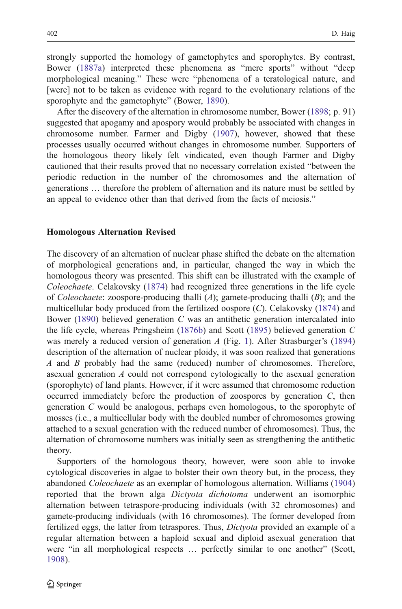strongly supported the homology of gametophytes and sporophytes. By contrast, Bower [\(1887a\)](#page-20-0) interpreted these phenomena as "mere sports" without "deep morphological meaning." These were "phenomena of a teratological nature, and [were] not to be taken as evidence with regard to the evolutionary relations of the sporophyte and the gametophyte" (Bower, [1890](#page-20-0)).

After the discovery of the alternation in chromosome number, Bower [\(1898](#page-20-0); p. 91) suggested that apogamy and apospory would probably be associated with changes in chromosome number. Farmer and Digby [\(1907](#page-21-0)), however, showed that these processes usually occurred without changes in chromosome number. Supporters of the homologous theory likely felt vindicated, even though Farmer and Digby cautioned that their results proved that no necessary correlation existed "between the periodic reduction in the number of the chromosomes and the alternation of generations … therefore the problem of alternation and its nature must be settled by an appeal to evidence other than that derived from the facts of meiosis."

#### Homologous Alternation Revised

The discovery of an alternation of nuclear phase shifted the debate on the alternation of morphological generations and, in particular, changed the way in which the homologous theory was presented. This shift can be illustrated with the example of Coleochaete. Celakovsky [\(1874](#page-20-0)) had recognized three generations in the life cycle of *Coleochaete*: zoospore-producing thalli  $(A)$ ; gamete-producing thalli  $(B)$ ; and the multicellular body produced from the fertilized oospore  $(C)$ . Celakovsky  $(1874)$  $(1874)$  and Bower [\(1890](#page-20-0)) believed generation  $C$  was an antithetic generation intercalated into the life cycle, whereas Pringsheim ([1876b\)](#page-22-0) and Scott [\(1895](#page-22-0)) believed generation C was merely a reduced version of generation  $A$  (Fig. [1](#page-8-0)). After Strasburger's [\(1894](#page-22-0)) description of the alternation of nuclear ploidy, it was soon realized that generations A and B probably had the same (reduced) number of chromosomes. Therefore, asexual generation A could not correspond cytologically to the asexual generation (sporophyte) of land plants. However, if it were assumed that chromosome reduction occurred immediately before the production of zoospores by generation  $C$ , then generation C would be analogous, perhaps even homologous, to the sporophyte of mosses (i.e., a multicellular body with the doubled number of chromosomes growing attached to a sexual generation with the reduced number of chromosomes). Thus, the alternation of chromosome numbers was initially seen as strengthening the antithetic theory.

Supporters of the homologous theory, however, were soon able to invoke cytological discoveries in algae to bolster their own theory but, in the process, they abandoned Coleochaete as an exemplar of homologous alternation. Williams [\(1904](#page-23-0)) reported that the brown alga Dictyota dichotoma underwent an isomorphic alternation between tetraspore-producing individuals (with 32 chromosomes) and gamete-producing individuals (with 16 chromosomes). The former developed from fertilized eggs, the latter from tetraspores. Thus, Dictyota provided an example of a regular alternation between a haploid sexual and diploid asexual generation that were "in all morphological respects … perfectly similar to one another" (Scott, [1908\)](#page-22-0).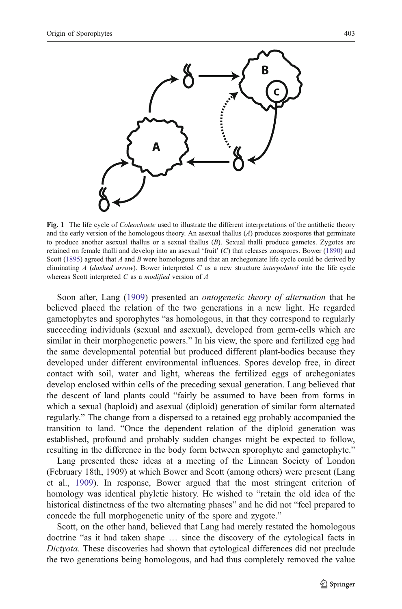<span id="page-8-0"></span>

Fig. 1 The life cycle of *Coleochaete* used to illustrate the different interpretations of the antithetic theory and the early version of the homologous theory. An asexual thallus  $(A)$  produces zoospores that germinate to produce another asexual thallus or a sexual thallus (B). Sexual thalli produce gametes. Zygotes are retained on female thalli and develop into an asexual 'fruit' (C) that releases zoospores. Bower [\(1890](#page-20-0)) and Scott ([1895\)](#page-22-0) agreed that A and B were homologous and that an archegoniate life cycle could be derived by eliminating  $A$  (dashed arrow). Bower interpreted  $C$  as a new structure *interpolated* into the life cycle whereas Scott interpreted  $C$  as a modified version of  $A$ 

Soon after, Lang ([1909\)](#page-21-0) presented an ontogenetic theory of alternation that he believed placed the relation of the two generations in a new light. He regarded gametophytes and sporophytes "as homologous, in that they correspond to regularly succeeding individuals (sexual and asexual), developed from germ-cells which are similar in their morphogenetic powers." In his view, the spore and fertilized egg had the same developmental potential but produced different plant-bodies because they developed under different environmental influences. Spores develop free, in direct contact with soil, water and light, whereas the fertilized eggs of archegoniates develop enclosed within cells of the preceding sexual generation. Lang believed that the descent of land plants could "fairly be assumed to have been from forms in which a sexual (haploid) and asexual (diploid) generation of similar form alternated regularly." The change from a dispersed to a retained egg probably accompanied the transition to land. "Once the dependent relation of the diploid generation was established, profound and probably sudden changes might be expected to follow, resulting in the difference in the body form between sporophyte and gametophyte."

Lang presented these ideas at a meeting of the Linnean Society of London (February 18th, 1909) at which Bower and Scott (among others) were present (Lang et al., [1909](#page-21-0)). In response, Bower argued that the most stringent criterion of homology was identical phyletic history. He wished to "retain the old idea of the historical distinctness of the two alternating phases" and he did not "feel prepared to concede the full morphogenetic unity of the spore and zygote."

Scott, on the other hand, believed that Lang had merely restated the homologous doctrine "as it had taken shape … since the discovery of the cytological facts in Dictyota. These discoveries had shown that cytological differences did not preclude the two generations being homologous, and had thus completely removed the value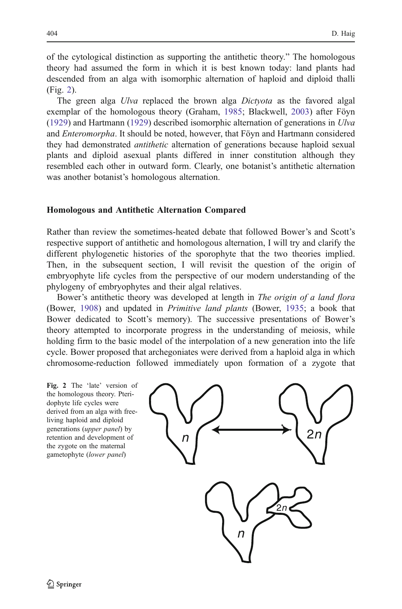of the cytological distinction as supporting the antithetic theory." The homologous theory had assumed the form in which it is best known today: land plants had descended from an alga with isomorphic alternation of haploid and diploid thalli (Fig. 2).

The green alga Ulva replaced the brown alga Dictyota as the favored algal exemplar of the homologous theory (Graham, [1985;](#page-21-0) Blackwell, [2003](#page-20-0)) after Föyn [\(1929](#page-21-0)) and Hartmann (1929) described isomorphic alternation of generations in  $U/\nu a$ and *Enteromorpha*. It should be noted, however, that Föyn and Hartmann considered they had demonstrated *antithetic* alternation of generations because haploid sexual plants and diploid asexual plants differed in inner constitution although they resembled each other in outward form. Clearly, one botanist's antithetic alternation was another botanist's homologous alternation.

## Homologous and Antithetic Alternation Compared

Rather than review the sometimes-heated debate that followed Bower's and Scott's respective support of antithetic and homologous alternation, I will try and clarify the different phylogenetic histories of the sporophyte that the two theories implied. Then, in the subsequent section, I will revisit the question of the origin of embryophyte life cycles from the perspective of our modern understanding of the phylogeny of embryophytes and their algal relatives.

Bower's antithetic theory was developed at length in The origin of a land flora (Bower, [1908\)](#page-20-0) and updated in Primitive land plants (Bower, [1935](#page-20-0); a book that Bower dedicated to Scott's memory). The successive presentations of Bower's theory attempted to incorporate progress in the understanding of meiosis, while holding firm to the basic model of the interpolation of a new generation into the life cycle. Bower proposed that archegoniates were derived from a haploid alga in which chromosome-reduction followed immediately upon formation of a zygote that

Fig. 2 The 'late' version of the homologous theory. Pteridophyte life cycles were derived from an alga with freeliving haploid and diploid generations (upper panel) by retention and development of the zygote on the maternal gametophyte (lower panel)

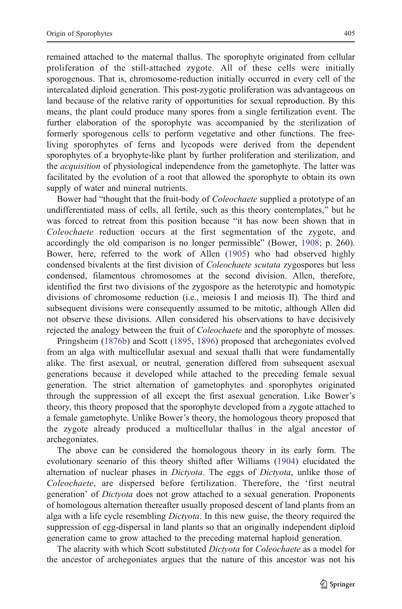remained attached to the maternal thallus. The sporophyte originated from cellular proliferation of the still-attached zygote. All of these cells were initially sporogenous. That is, chromosome-reduction initially occurred in every cell of the intercalated diploid generation. This post-zygotic proliferation was advantageous on land because of the relative rarity of opportunities for sexual reproduction. By this means, the plant could produce many spores from a single fertilization event. The further elaboration of the sporophyte was accompanied by the sterilization of formerly sporogenous cells to perform vegetative and other functions. The freeliving sporophytes of ferns and lycopods were derived from the dependent sporophytes of a bryophyte-like plant by further proliferation and sterilization, and the *acquisition* of physiological independence from the gametophyte. The latter was facilitated by the evolution of a root that allowed the sporophyte to obtain its own supply of water and mineral nutrients.

Bower had "thought that the fruit-body of Coleochaete supplied a prototype of an undifferentiated mass of cells, all fertile, such as this theory contemplates," but he was forced to retreat from this position because "it has now been shown that in Coleochaete reduction occurs at the first segmentation of the zygote, and accordingly the old comparison is no longer permissible" (Bower, [1908](#page-20-0); p. 260). Bower, here, referred to the work of Allen ([1905\)](#page-20-0) who had observed highly condensed bivalents at the first division of Coleochaete scutata zygospores but less condensed, filamentous chromosomes at the second division. Allen, therefore, identified the first two divisions of the zygospore as the heterotypic and homotypic divisions of chromosome reduction (i.e., meiosis I and meiosis II). The third and subsequent divisions were consequently assumed to be mitotic, although Allen did not observe these divisions. Allen considered his observations to have decisively rejected the analogy between the fruit of *Coleochaete* and the sporophyte of mosses.

Pringsheim ([1876b\)](#page-22-0) and Scott ([1895,](#page-22-0) [1896](#page-22-0)) proposed that archegoniates evolved from an alga with multicellular asexual and sexual thalli that were fundamentally alike. The first asexual, or neutral, generation differed from subsequent asexual generations because it developed while attached to the preceding female sexual generation. The strict alternation of gametophytes and sporophytes originated through the suppression of all except the first asexual generation. Like Bower's theory, this theory proposed that the sporophyte developed from a zygote attached to a female gametophyte. Unlike Bower's theory, the homologous theory proposed that the zygote already produced a multicellular thallus in the algal ancestor of archegoniates.

The above can be considered the homologous theory in its early form. The evolutionary scenario of this theory shifted after Williams [\(1904](#page-23-0)) elucidated the alternation of nuclear phases in Dictyota. The eggs of Dictyota, unlike those of Coleochaete, are dispersed before fertilization. Therefore, the 'first neutral generation' of Dictyota does not grow attached to a sexual generation. Proponents of homologous alternation thereafter usually proposed descent of land plants from an alga with a life cycle resembling *Dictyota*. In this new guise, the theory required the suppression of egg-dispersal in land plants so that an originally independent diploid generation came to grow attached to the preceding maternal haploid generation.

The alacrity with which Scott substituted Dictyota for Coleochaete as a model for the ancestor of archegoniates argues that the nature of this ancestor was not his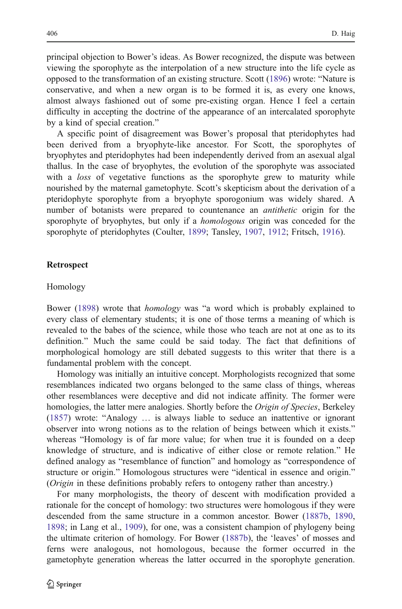principal objection to Bower's ideas. As Bower recognized, the dispute was between viewing the sporophyte as the interpolation of a new structure into the life cycle as opposed to the transformation of an existing structure. Scott ([1896](#page-22-0)) wrote: "Nature is conservative, and when a new organ is to be formed it is, as every one knows, almost always fashioned out of some pre-existing organ. Hence I feel a certain difficulty in accepting the doctrine of the appearance of an intercalated sporophyte by a kind of special creation."

A specific point of disagreement was Bower's proposal that pteridophytes had been derived from a bryophyte-like ancestor. For Scott, the sporophytes of bryophytes and pteridophytes had been independently derived from an asexual algal thallus. In the case of bryophytes, the evolution of the sporophyte was associated with a *loss* of vegetative functions as the sporophyte grew to maturity while nourished by the maternal gametophyte. Scott's skepticism about the derivation of a pteridophyte sporophyte from a bryophyte sporogonium was widely shared. A number of botanists were prepared to countenance an *antithetic* origin for the sporophyte of bryophytes, but only if a *homologous* origin was conceded for the sporophyte of pteridophytes (Coulter, [1899](#page-20-0); Tansley, [1907](#page-22-0), [1912;](#page-22-0) Fritsch, [1916\)](#page-21-0).

#### Retrospect

#### Homology

Bower ([1898\)](#page-20-0) wrote that homology was "a word which is probably explained to every class of elementary students; it is one of those terms a meaning of which is revealed to the babes of the science, while those who teach are not at one as to its definition." Much the same could be said today. The fact that definitions of morphological homology are still debated suggests to this writer that there is a fundamental problem with the concept.

Homology was initially an intuitive concept. Morphologists recognized that some resemblances indicated two organs belonged to the same class of things, whereas other resemblances were deceptive and did not indicate affinity. The former were homologies, the latter mere analogies. Shortly before the Origin of Species, Berkeley [\(1857](#page-20-0)) wrote: "Analogy … is always liable to seduce an inattentive or ignorant observer into wrong notions as to the relation of beings between which it exists." whereas "Homology is of far more value; for when true it is founded on a deep knowledge of structure, and is indicative of either close or remote relation." He defined analogy as "resemblance of function" and homology as "correspondence of structure or origin." Homologous structures were "identical in essence and origin." (Origin in these definitions probably refers to ontogeny rather than ancestry.)

For many morphologists, the theory of descent with modification provided a rationale for the concept of homology: two structures were homologous if they were descended from the same structure in a common ancestor. Bower ([1887b,](#page-20-0) [1890,](#page-20-0) [1898;](#page-20-0) in Lang et al., [1909](#page-21-0)), for one, was a consistent champion of phylogeny being the ultimate criterion of homology. For Bower [\(1887b](#page-20-0)), the 'leaves' of mosses and ferns were analogous, not homologous, because the former occurred in the gametophyte generation whereas the latter occurred in the sporophyte generation.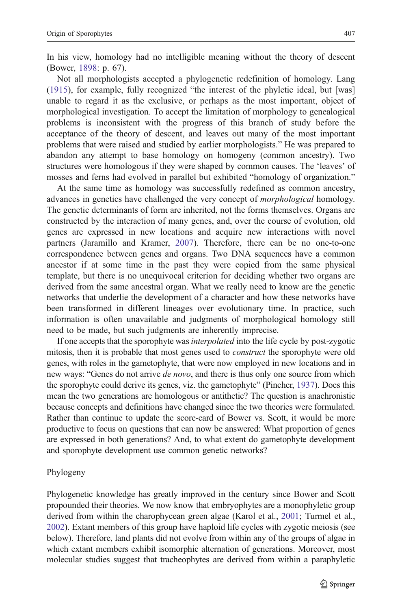In his view, homology had no intelligible meaning without the theory of descent (Bower, [1898](#page-20-0): p. 67).

Not all morphologists accepted a phylogenetic redefinition of homology. Lang [\(1915](#page-21-0)), for example, fully recognized "the interest of the phyletic ideal, but [was] unable to regard it as the exclusive, or perhaps as the most important, object of morphological investigation. To accept the limitation of morphology to genealogical problems is inconsistent with the progress of this branch of study before the acceptance of the theory of descent, and leaves out many of the most important problems that were raised and studied by earlier morphologists." He was prepared to abandon any attempt to base homology on homogeny (common ancestry). Two structures were homologous if they were shaped by common causes. The 'leaves' of mosses and ferns had evolved in parallel but exhibited "homology of organization."

At the same time as homology was successfully redefined as common ancestry, advances in genetics have challenged the very concept of *morphological* homology. The genetic determinants of form are inherited, not the forms themselves. Organs are constructed by the interaction of many genes, and, over the course of evolution, old genes are expressed in new locations and acquire new interactions with novel partners (Jaramillo and Kramer, [2007\)](#page-21-0). Therefore, there can be no one-to-one correspondence between genes and organs. Two DNA sequences have a common ancestor if at some time in the past they were copied from the same physical template, but there is no unequivocal criterion for deciding whether two organs are derived from the same ancestral organ. What we really need to know are the genetic networks that underlie the development of a character and how these networks have been transformed in different lineages over evolutionary time. In practice, such information is often unavailable and judgments of morphological homology still need to be made, but such judgments are inherently imprecise.

If one accepts that the sporophyte wasinterpolated into the life cycle by post-zygotic mitosis, then it is probable that most genes used to *construct* the sporophyte were old genes, with roles in the gametophyte, that were now employed in new locations and in new ways: "Genes do not arrive *de novo*, and there is thus only one source from which the sporophyte could derive its genes, viz. the gametophyte" (Pincher, [1937\)](#page-21-0). Does this mean the two generations are homologous or antithetic? The question is anachronistic because concepts and definitions have changed since the two theories were formulated. Rather than continue to update the score-card of Bower vs. Scott, it would be more productive to focus on questions that can now be answered: What proportion of genes are expressed in both generations? And, to what extent do gametophyte development and sporophyte development use common genetic networks?

### Phylogeny

Phylogenetic knowledge has greatly improved in the century since Bower and Scott propounded their theories. We now know that embryophytes are a monophyletic group derived from within the charophycean green algae (Karol et al., [2001](#page-21-0); Turmel et al., [2002\)](#page-22-0). Extant members of this group have haploid life cycles with zygotic meiosis (see below). Therefore, land plants did not evolve from within any of the groups of algae in which extant members exhibit isomorphic alternation of generations. Moreover, most molecular studies suggest that tracheophytes are derived from within a paraphyletic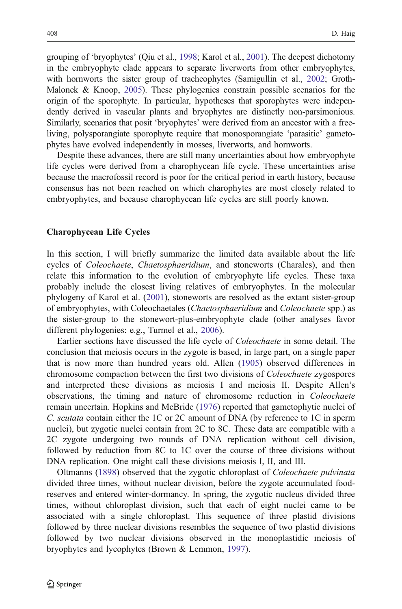grouping of 'bryophytes' (Qiu et al., [1998;](#page-22-0) Karol et al., [2001](#page-21-0)). The deepest dichotomy in the embryophyte clade appears to separate liverworts from other embryophytes, with hornworts the sister group of tracheophytes (Samigullin et al., [2002](#page-22-0); Groth-Malonek & Knoop, [2005](#page-21-0)). These phylogenies constrain possible scenarios for the origin of the sporophyte. In particular, hypotheses that sporophytes were independently derived in vascular plants and bryophytes are distinctly non-parsimonious. Similarly, scenarios that posit 'bryophytes' were derived from an ancestor with a freeliving, polysporangiate sporophyte require that monosporangiate 'parasitic' gametophytes have evolved independently in mosses, liverworts, and hornworts.

Despite these advances, there are still many uncertainties about how embryophyte life cycles were derived from a charophycean life cycle. These uncertainties arise because the macrofossil record is poor for the critical period in earth history, because consensus has not been reached on which charophytes are most closely related to embryophytes, and because charophycean life cycles are still poorly known.

### Charophycean Life Cycles

In this section, I will briefly summarize the limited data available about the life cycles of Coleochaete, Chaetosphaeridium, and stoneworts (Charales), and then relate this information to the evolution of embryophyte life cycles. These taxa probably include the closest living relatives of embryophytes. In the molecular phylogeny of Karol et al. ([2001\)](#page-21-0), stoneworts are resolved as the extant sister-group of embryophytes, with Coleochaetales (Chaetosphaeridium and Coleochaete spp.) as the sister-group to the stonewort-plus-embryophyte clade (other analyses favor different phylogenies: e.g., Turmel et al., [2006\)](#page-22-0).

Earlier sections have discussed the life cycle of Coleochaete in some detail. The conclusion that meiosis occurs in the zygote is based, in large part, on a single paper that is now more than hundred years old. Allen ([1905\)](#page-20-0) observed differences in chromosome compaction between the first two divisions of Coleochaete zygospores and interpreted these divisions as meiosis I and meiosis II. Despite Allen's observations, the timing and nature of chromosome reduction in Coleochaete remain uncertain. Hopkins and McBride ([1976\)](#page-21-0) reported that gametophytic nuclei of C. scutata contain either the 1C or 2C amount of DNA (by reference to 1C in sperm nuclei), but zygotic nuclei contain from 2C to 8C. These data are compatible with a 2C zygote undergoing two rounds of DNA replication without cell division, followed by reduction from 8C to 1C over the course of three divisions without DNA replication. One might call these divisions meiosis I, II, and III.

Oltmanns [\(1898](#page-21-0)) observed that the zygotic chloroplast of Coleochaete pulvinata divided three times, without nuclear division, before the zygote accumulated foodreserves and entered winter-dormancy. In spring, the zygotic nucleus divided three times, without chloroplast division, such that each of eight nuclei came to be associated with a single chloroplast. This sequence of three plastid divisions followed by three nuclear divisions resembles the sequence of two plastid divisions followed by two nuclear divisions observed in the monoplastidic meiosis of bryophytes and lycophytes (Brown & Lemmon, [1997](#page-20-0)).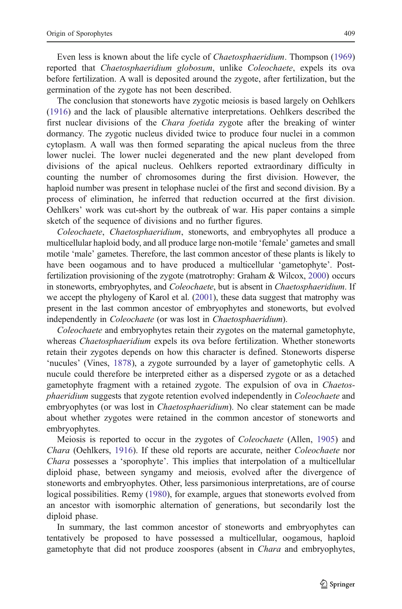Even less is known about the life cycle of Chaetosphaeridium. Thompson [\(1969](#page-22-0)) reported that *Chaetosphaeridium globosum*, unlike *Coleochaete*, expels its ova before fertilization. A wall is deposited around the zygote, after fertilization, but the germination of the zygote has not been described.

The conclusion that stoneworts have zygotic meiosis is based largely on Oehlkers [\(1916](#page-21-0)) and the lack of plausible alternative interpretations. Oehlkers described the first nuclear divisions of the Chara foetida zygote after the breaking of winter dormancy. The zygotic nucleus divided twice to produce four nuclei in a common cytoplasm. A wall was then formed separating the apical nucleus from the three lower nuclei. The lower nuclei degenerated and the new plant developed from divisions of the apical nucleus. Oehlkers reported extraordinary difficulty in counting the number of chromosomes during the first division. However, the haploid number was present in telophase nuclei of the first and second division. By a process of elimination, he inferred that reduction occurred at the first division. Oehlkers' work was cut-short by the outbreak of war. His paper contains a simple sketch of the sequence of divisions and no further figures.

Coleochaete, Chaetosphaeridium, stoneworts, and embryophytes all produce a multicellular haploid body, and all produce large non-motile 'female' gametes and small motile 'male' gametes. Therefore, the last common ancestor of these plants is likely to have been oogamous and to have produced a multicellular 'gametophyte'. Postfertilization provisioning of the zygote (matrotrophy: Graham & Wilcox, [2000\)](#page-21-0) occurs in stoneworts, embryophytes, and *Coleochaete*, but is absent in *Chaetosphaeridium*. If we accept the phylogeny of Karol et al. [\(2001](#page-21-0)), these data suggest that matrophy was present in the last common ancestor of embryophytes and stoneworts, but evolved independently in Coleochaete (or was lost in Chaetosphaeridium).

Coleochaete and embryophytes retain their zygotes on the maternal gametophyte, whereas *Chaetosphaeridium* expels its ova before fertilization. Whether stoneworts retain their zygotes depends on how this character is defined. Stoneworts disperse 'nucules' (Vines, [1878\)](#page-22-0), a zygote surrounded by a layer of gametophytic cells. A nucule could therefore be interpreted either as a dispersed zygote or as a detached gametophyte fragment with a retained zygote. The expulsion of ova in Chaetosphaeridium suggests that zygote retention evolved independently in Coleochaete and embryophytes (or was lost in *Chaetosphaeridium*). No clear statement can be made about whether zygotes were retained in the common ancestor of stoneworts and embryophytes.

Meiosis is reported to occur in the zygotes of *Coleochaete* (Allen, [1905](#page-20-0)) and Chara (Oehlkers, [1916](#page-21-0)). If these old reports are accurate, neither Coleochaete nor Chara possesses a 'sporophyte'. This implies that interpolation of a multicellular diploid phase, between syngamy and meiosis, evolved after the divergence of stoneworts and embryophytes. Other, less parsimonious interpretations, are of course logical possibilities. Remy [\(1980](#page-22-0)), for example, argues that stoneworts evolved from an ancestor with isomorphic alternation of generations, but secondarily lost the diploid phase.

In summary, the last common ancestor of stoneworts and embryophytes can tentatively be proposed to have possessed a multicellular, oogamous, haploid gametophyte that did not produce zoospores (absent in Chara and embryophytes,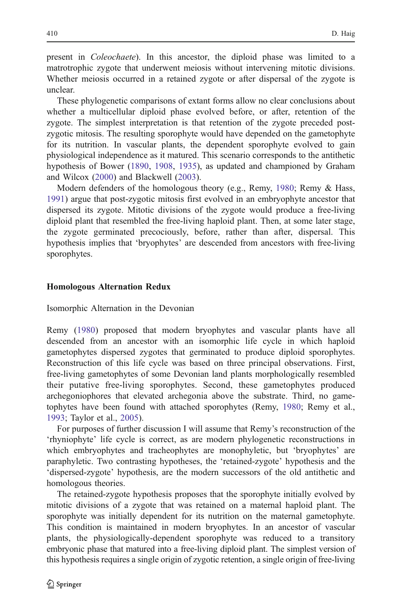present in Coleochaete). In this ancestor, the diploid phase was limited to a matrotrophic zygote that underwent meiosis without intervening mitotic divisions. Whether meiosis occurred in a retained zygote or after dispersal of the zygote is unclear.

These phylogenetic comparisons of extant forms allow no clear conclusions about whether a multicellular diploid phase evolved before, or after, retention of the zygote. The simplest interpretation is that retention of the zygote preceded postzygotic mitosis. The resulting sporophyte would have depended on the gametophyte for its nutrition. In vascular plants, the dependent sporophyte evolved to gain physiological independence as it matured. This scenario corresponds to the antithetic hypothesis of Bower ([1890,](#page-20-0) [1908](#page-20-0), [1935](#page-20-0)), as updated and championed by Graham and Wilcox ([2000\)](#page-21-0) and Blackwell ([2003\)](#page-20-0).

Modern defenders of the homologous theory (e.g., Remy, [1980;](#page-22-0) Remy & Hass, [1991\)](#page-22-0) argue that post-zygotic mitosis first evolved in an embryophyte ancestor that dispersed its zygote. Mitotic divisions of the zygote would produce a free-living diploid plant that resembled the free-living haploid plant. Then, at some later stage, the zygote germinated precociously, before, rather than after, dispersal. This hypothesis implies that 'bryophytes' are descended from ancestors with free-living sporophytes.

#### Homologous Alternation Redux

Isomorphic Alternation in the Devonian

Remy [\(1980](#page-22-0)) proposed that modern bryophytes and vascular plants have all descended from an ancestor with an isomorphic life cycle in which haploid gametophytes dispersed zygotes that germinated to produce diploid sporophytes. Reconstruction of this life cycle was based on three principal observations. First, free-living gametophytes of some Devonian land plants morphologically resembled their putative free-living sporophytes. Second, these gametophytes produced archegoniophores that elevated archegonia above the substrate. Third, no gametophytes have been found with attached sporophytes (Remy, [1980](#page-22-0); Remy et al., [1993;](#page-22-0) Taylor et al., [2005\)](#page-22-0).

For purposes of further discussion I will assume that Remy's reconstruction of the 'rhyniophyte' life cycle is correct, as are modern phylogenetic reconstructions in which embryophytes and tracheophytes are monophyletic, but 'bryophytes' are paraphyletic. Two contrasting hypotheses, the 'retained-zygote' hypothesis and the 'dispersed-zygote' hypothesis, are the modern successors of the old antithetic and homologous theories.

The retained-zygote hypothesis proposes that the sporophyte initially evolved by mitotic divisions of a zygote that was retained on a maternal haploid plant. The sporophyte was initially dependent for its nutrition on the maternal gametophyte. This condition is maintained in modern bryophytes. In an ancestor of vascular plants, the physiologically-dependent sporophyte was reduced to a transitory embryonic phase that matured into a free-living diploid plant. The simplest version of this hypothesis requires a single origin of zygotic retention, a single origin of free-living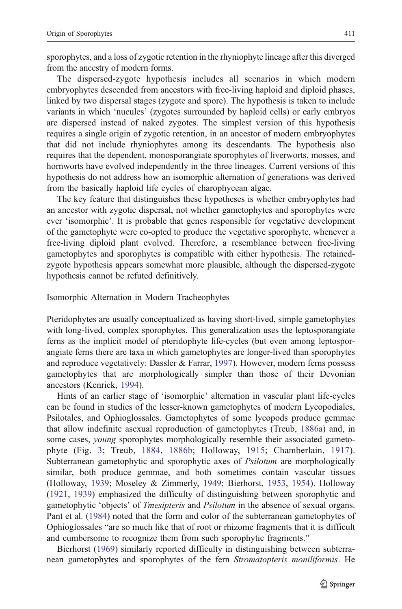sporophytes, and a loss of zygotic retention in the rhyniophyte lineage after this diverged from the ancestry of modern forms.

The dispersed-zygote hypothesis includes all scenarios in which modern embryophytes descended from ancestors with free-living haploid and diploid phases, linked by two dispersal stages (zygote and spore). The hypothesis is taken to include variants in which 'nucules' (zygotes surrounded by haploid cells) or early embryos are dispersed instead of naked zygotes. The simplest version of this hypothesis requires a single origin of zygotic retention, in an ancestor of modern embryophytes that did not include rhyniophytes among its descendants. The hypothesis also requires that the dependent, monosporangiate sporophytes of liverworts, mosses, and hornworts have evolved independently in the three lineages. Current versions of this hypothesis do not address how an isomorphic alternation of generations was derived from the basically haploid life cycles of charophycean algae.

The key feature that distinguishes these hypotheses is whether embryophytes had an ancestor with zygotic dispersal, not whether gametophytes and sporophytes were ever 'isomorphic'. It is probable that genes responsible for vegetative development of the gametophyte were co-opted to produce the vegetative sporophyte, whenever a free-living diploid plant evolved. Therefore, a resemblance between free-living gametophytes and sporophytes is compatible with either hypothesis. The retainedzygote hypothesis appears somewhat more plausible, although the dispersed-zygote hypothesis cannot be refuted definitively.

Isomorphic Alternation in Modern Tracheophytes

Pteridophytes are usually conceptualized as having short-lived, simple gametophytes with long-lived, complex sporophytes. This generalization uses the leptosporangiate ferns as the implicit model of pteridophyte life-cycles (but even among leptosporangiate ferns there are taxa in which gametophytes are longer-lived than sporophytes and reproduce vegetatively: Dassler & Farrar, [1997](#page-20-0)). However, modern ferns possess gametophytes that are morphologically simpler than those of their Devonian ancestors (Kenrick, [1994\)](#page-21-0).

Hints of an earlier stage of 'isomorphic' alternation in vascular plant life-cycles can be found in studies of the lesser-known gametophytes of modern Lycopodiales, Psilotales, and Ophioglossales. Gametophytes of some lycopods produce gemmae that allow indefinite asexual reproduction of gametophytes (Treub, [1886a\)](#page-22-0) and, in some cases, *young* sporophytes morphologically resemble their associated gametophyte (Fig. [3](#page-17-0); Treub, [1884,](#page-22-0) [1886b;](#page-22-0) Holloway, [1915;](#page-21-0) Chamberlain, [1917](#page-20-0)). Subterranean gametophytic and sporophytic axes of *Psilotum* are morphologically similar, both produce gemmae, and both sometimes contain vascular tissues (Holloway, [1939](#page-21-0); Moseley & Zimmerly, [1949](#page-21-0); Bierhorst, [1953,](#page-20-0) [1954](#page-20-0)). Holloway [\(1921](#page-21-0), [1939\)](#page-21-0) emphasized the difficulty of distinguishing between sporophytic and gametophytic 'objects' of Tmesipteris and Psilotum in the absence of sexual organs. Pant et al. [\(1984](#page-21-0)) noted that the form and color of the subterranean gametophytes of Ophioglossales "are so much like that of root or rhizome fragments that it is difficult and cumbersome to recognize them from such sporophytic fragments."

Bierhorst ([1969\)](#page-20-0) similarly reported difficulty in distinguishing between subterranean gametophytes and sporophytes of the fern Stromatopteris moniliformis. He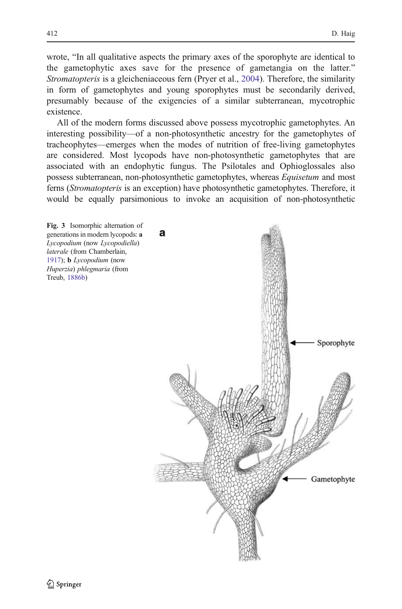<span id="page-17-0"></span>wrote, "In all qualitative aspects the primary axes of the sporophyte are identical to the gametophytic axes save for the presence of gametangia on the latter." Stromatopteris is a gleicheniaceous fern (Pryer et al., [2004\)](#page-22-0). Therefore, the similarity in form of gametophytes and young sporophytes must be secondarily derived, presumably because of the exigencies of a similar subterranean, mycotrophic existence.

All of the modern forms discussed above possess mycotrophic gametophytes. An interesting possibility—of a non-photosynthetic ancestry for the gametophytes of tracheophytes—emerges when the modes of nutrition of free-living gametophytes are considered. Most lycopods have non-photosynthetic gametophytes that are associated with an endophytic fungus. The Psilotales and Ophioglossales also possess subterranean, non-photosynthetic gametophytes, whereas *Equisetum* and most ferns (Stromatopteris is an exception) have photosynthetic gametophytes. Therefore, it would be equally parsimonious to invoke an acquisition of non-photosynthetic

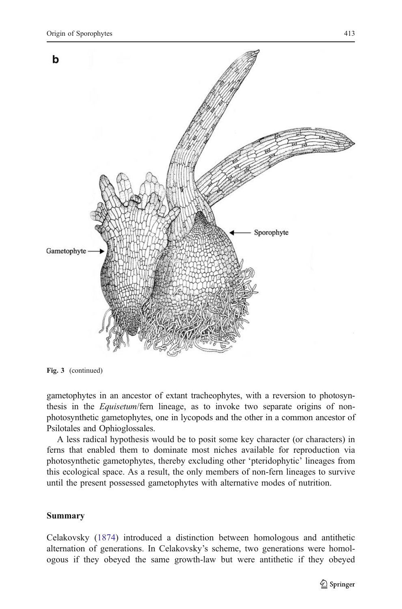

Fig. 3 (continued)

gametophytes in an ancestor of extant tracheophytes, with a reversion to photosynthesis in the *Equisetum*/fern lineage, as to invoke two separate origins of nonphotosynthetic gametophytes, one in lycopods and the other in a common ancestor of Psilotales and Ophioglossales.

A less radical hypothesis would be to posit some key character (or characters) in ferns that enabled them to dominate most niches available for reproduction via photosynthetic gametophytes, thereby excluding other 'pteridophytic' lineages from this ecological space. As a result, the only members of non-fern lineages to survive until the present possessed gametophytes with alternative modes of nutrition.

## Summary

Celakovsky [\(1874](#page-20-0)) introduced a distinction between homologous and antithetic alternation of generations. In Celakovsky's scheme, two generations were homologous if they obeyed the same growth-law but were antithetic if they obeyed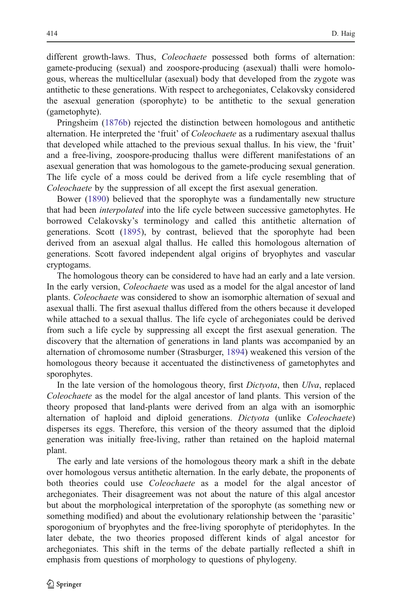different growth-laws. Thus, *Coleochaete* possessed both forms of alternation: gamete-producing (sexual) and zoospore-producing (asexual) thalli were homologous, whereas the multicellular (asexual) body that developed from the zygote was antithetic to these generations. With respect to archegoniates, Celakovsky considered the asexual generation (sporophyte) to be antithetic to the sexual generation (gametophyte).

Pringsheim ([1876b\)](#page-22-0) rejected the distinction between homologous and antithetic alternation. He interpreted the 'fruit' of *Coleochaete* as a rudimentary asexual thallus that developed while attached to the previous sexual thallus. In his view, the 'fruit' and a free-living, zoospore-producing thallus were different manifestations of an asexual generation that was homologous to the gamete-producing sexual generation. The life cycle of a moss could be derived from a life cycle resembling that of Coleochaete by the suppression of all except the first asexual generation.

Bower [\(1890](#page-20-0)) believed that the sporophyte was a fundamentally new structure that had been *interpolated* into the life cycle between successive gametophytes. He borrowed Celakovsky's terminology and called this antithetic alternation of generations. Scott [\(1895](#page-22-0)), by contrast, believed that the sporophyte had been derived from an asexual algal thallus. He called this homologous alternation of generations. Scott favored independent algal origins of bryophytes and vascular cryptogams.

The homologous theory can be considered to have had an early and a late version. In the early version, Coleochaete was used as a model for the algal ancestor of land plants. Coleochaete was considered to show an isomorphic alternation of sexual and asexual thalli. The first asexual thallus differed from the others because it developed while attached to a sexual thallus. The life cycle of archegoniates could be derived from such a life cycle by suppressing all except the first asexual generation. The discovery that the alternation of generations in land plants was accompanied by an alternation of chromosome number (Strasburger, [1894\)](#page-22-0) weakened this version of the homologous theory because it accentuated the distinctiveness of gametophytes and sporophytes.

In the late version of the homologous theory, first Dictyota, then Ulva, replaced Coleochaete as the model for the algal ancestor of land plants. This version of the theory proposed that land-plants were derived from an alga with an isomorphic alternation of haploid and diploid generations. Dictyota (unlike Coleochaete) disperses its eggs. Therefore, this version of the theory assumed that the diploid generation was initially free-living, rather than retained on the haploid maternal plant.

The early and late versions of the homologous theory mark a shift in the debate over homologous versus antithetic alternation. In the early debate, the proponents of both theories could use Coleochaete as a model for the algal ancestor of archegoniates. Their disagreement was not about the nature of this algal ancestor but about the morphological interpretation of the sporophyte (as something new or something modified) and about the evolutionary relationship between the 'parasitic' sporogonium of bryophytes and the free-living sporophyte of pteridophytes. In the later debate, the two theories proposed different kinds of algal ancestor for archegoniates. This shift in the terms of the debate partially reflected a shift in emphasis from questions of morphology to questions of phylogeny.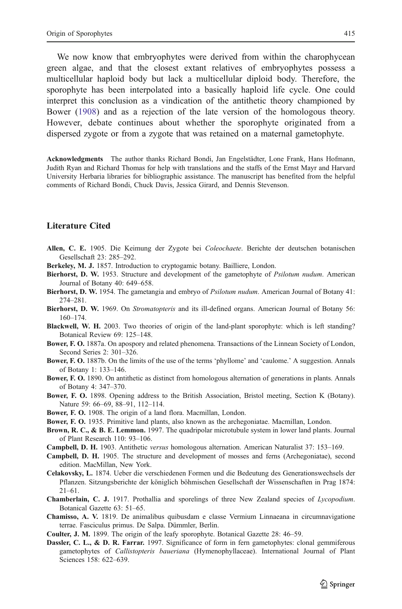<span id="page-20-0"></span>We now know that embryophytes were derived from within the charophycean green algae, and that the closest extant relatives of embryophytes possess a multicellular haploid body but lack a multicellular diploid body. Therefore, the sporophyte has been interpolated into a basically haploid life cycle. One could interpret this conclusion as a vindication of the antithetic theory championed by Bower (1908) and as a rejection of the late version of the homologous theory. However, debate continues about whether the sporophyte originated from a dispersed zygote or from a zygote that was retained on a maternal gametophyte.

Acknowledgments The author thanks Richard Bondi, Jan Engelstädter, Lone Frank, Hans Hofmann, Judith Ryan and Richard Thomas for help with translations and the staffs of the Ernst Mayr and Harvard University Herbaria libraries for bibliographic assistance. The manuscript has benefited from the helpful comments of Richard Bondi, Chuck Davis, Jessica Girard, and Dennis Stevenson.

### Literature Cited

- Allen, C. E. 1905. Die Keimung der Zygote bei Coleochaete. Berichte der deutschen botanischen Gesellschaft 23: 285–292.
- Berkeley, M. J. 1857. Introduction to cryptogamic botany. Bailliere, London.
- Bierhorst, D. W. 1953. Structure and development of the gametophyte of *Psilotum nudum*. American Journal of Botany 40: 649–658.
- Bierhorst, D. W. 1954. The gametangia and embryo of *Psilotum nudum*. American Journal of Botany 41: 274–281.
- Bierhorst, D. W. 1969. On Stromatopteris and its ill-defined organs. American Journal of Botany 56: 160–174.
- Blackwell, W. H. 2003. Two theories of origin of the land-plant sporophyte: which is left standing? Botanical Review 69: 125–148.
- Bower, F. O. 1887a. On apospory and related phenomena. Transactions of the Linnean Society of London, Second Series 2: 301–326.
- Bower, F. O. 1887b. On the limits of the use of the terms 'phyllome' and 'caulome.' A suggestion. Annals of Botany 1: 133–146.
- Bower, F. O. 1890. On antithetic as distinct from homologous alternation of generations in plants. Annals of Botany 4: 347–370.
- Bower, F. O. 1898. Opening address to the British Association, Bristol meeting, Section K (Botany). Nature 59: 66–69, 88–91, 112–114.
- Bower, F. O. 1908. The origin of a land flora. Macmillan, London.
- Bower, F. O. 1935. Primitive land plants, also known as the archegoniatae. Macmillan, London.
- Brown, R. C., & B. E. Lemmon. 1997. The quadripolar microtubule system in lower land plants. Journal of Plant Research 110: 93–106.
- Campbell, D. H. 1903. Antithetic versus homologous alternation. American Naturalist 37: 153–169.
- Campbell, D. H. 1905. The structure and development of mosses and ferns (Archegoniatae), second edition. MacMillan, New York.
- Celakovsky, L. 1874. Ueber die verschiedenen Formen und die Bedeutung des Generationswechsels der Pflanzen. Sitzungsberichte der königlich böhmischen Gesellschaft der Wissenschaften in Prag 1874: 21–61.
- Chamberlain, C. J. 1917. Prothallia and sporelings of three New Zealand species of Lycopodium. Botanical Gazette 63: 51–65.
- Chamisso, A. V. 1819. De animalibus quibusdam e classe Vermium Linnaeana in circumnavigatione terrae. Fasciculus primus. De Salpa. Dümmler, Berlin.
- Coulter, J. M. 1899. The origin of the leafy sporophyte. Botanical Gazette 28: 46–59.
- Dassler, C. L., & D. R. Farrar. 1997. Significance of form in fern gametophytes: clonal gemmiferous gametophytes of Callistopteris baueriana (Hymenophyllaceae). International Journal of Plant Sciences 158: 622–639.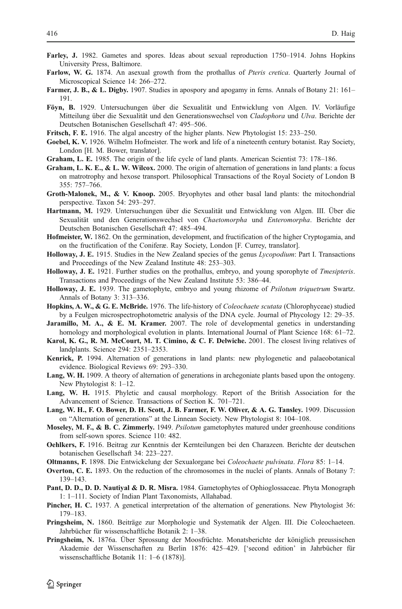- <span id="page-21-0"></span>Farley, J. 1982. Gametes and spores. Ideas about sexual reproduction 1750–1914. Johns Hopkins University Press, Baltimore.
- Farlow, W. G. 1874. An asexual growth from the prothallus of *Pteris cretica*. Quarterly Journal of Microscopical Science 14: 266–272.
- Farmer, J. B., & L. Digby. 1907. Studies in apospory and apogamy in ferns. Annals of Botany 21: 161– 191.
- Föyn, B. 1929. Untersuchungen über die Sexualität und Entwicklung von Algen. IV. Vorläufige Mitteilung über die Sexualität und den Generationswechsel von Cladophora und Ulva. Berichte der Deutschen Botanischen Gesellschaft 47: 495–506.
- Fritsch, F. E. 1916. The algal ancestry of the higher plants. New Phytologist 15: 233–250.
- Goebel, K. V. 1926. Wilhelm Hofmeister. The work and life of a nineteenth century botanist. Ray Society, London [H. M. Bower, translator].
- Graham, L. E. 1985. The origin of the life cycle of land plants. American Scientist 73: 178–186.
- Graham, L. K. E., & L. W. Wilcox. 2000. The origin of alternation of generations in land plants: a focus on matrotrophy and hexose transport. Philosophical Transactions of the Royal Society of London B 355: 757–766.
- Groth-Malonek, M., & V. Knoop. 2005. Bryophytes and other basal land plants: the mitochondrial perspective. Taxon 54: 293–297.
- Hartmann, M. 1929. Untersuchungen über die Sexualität und Entwicklung von Algen. III. Über die Sexualität und den Generationswechsel von Chaetomorpha und Enteromorpha. Berichte der Deutschen Botanischen Gesellschaft 47: 485–494.
- Hofmeister, W. 1862. On the germination, development, and fructification of the higher Cryptogamia, and on the fructification of the Coniferæ. Ray Society, London [F. Currey, translator].
- Holloway, J. E. 1915. Studies in the New Zealand species of the genus Lycopodium: Part I. Transactions and Proceedings of the New Zealand Institute 48: 253–303.
- Holloway, J. E. 1921. Further studies on the prothallus, embryo, and young sporophyte of Tmesipteris. Transactions and Proceedings of the New Zealand Institute 53: 386–44.
- Holloway, J. E. 1939. The gametophyte, embryo and young rhizome of *Psilotum triquetrum* Swartz. Annals of Botany 3: 313–336.
- Hopkins, A. W., & G. E. McBride. 1976. The life-history of *Coleochaete scutata* (Chlorophyceae) studied by a Feulgen microspectrophotometric analysis of the DNA cycle. Journal of Phycology 12: 29–35.
- Jaramillo, M. A., & E. M. Kramer. 2007. The role of developmental genetics in understanding homology and morphological evolution in plants. International Journal of Plant Science 168: 61–72.
- Karol, K. G., R. M. McCourt, M. T. Cimino, & C. F. Delwiche. 2001. The closest living relatives of landplants. Science 294: 2351–2353.
- Kenrick, P. 1994. Alternation of generations in land plants: new phylogenetic and palaeobotanical evidence. Biological Reviews 69: 293–330.
- Lang, W. H. 1909. A theory of alternation of generations in archegoniate plants based upon the ontogeny. New Phytologist 8: 1–12.
- Lang, W. H. 1915. Phyletic and causal morphology. Report of the British Association for the Advancement of Science. Transactions of Section K. 701–721.
- Lang, W. H., F. O. Bower, D. H. Scott, J. B. Farmer, F. W. Oliver, & A. G. Tansley. 1909. Discussion on "Alternation of generations" at the Linnean Society. New Phytologist 8: 104–108.
- Moseley, M. F., & B. C. Zimmerly. 1949. Psilotum gametophytes matured under greenhouse conditions from self-sown spores. Science 110: 482.
- Oehlkers, F. 1916. Beitrag zur Kenntnis der Kernteilungen bei den Charazeen. Berichte der deutschen botanischen Gesellschaft 34: 223–227.
- Oltmanns, F. 1898. Die Entwickelung der Sexualorgane bei Coleochaete pulvinata. Flora 85: 1–14.
- Overton, C. E. 1893. On the reduction of the chromosomes in the nuclei of plants. Annals of Botany 7: 139–143.
- Pant, D. D., D. D. Nautiyal & D. R. Misra. 1984. Gametophytes of Ophioglossaceae. Phyta Monograph 1: 1–111. Society of Indian Plant Taxonomists, Allahabad.
- Pincher, H. C. 1937. A genetical interpretation of the alternation of generations. New Phytologist 36: 179–183.
- Pringsheim, N. 1860. Beiträge zur Morphologie und Systematik der Algen. III. Die Coleochaeteen. Jahrbücher für wissenschaftliche Botanik 2: 1–38.
- Pringsheim, N. 1876a. Über Sprossung der Moosfrüchte. Monatsberichte der königlich preussischen Akademie der Wissenschaften zu Berlin 1876: 425–429. ['second edition' in Jahrbücher für wissenschaftliche Botanik 11: 1–6 (1878)].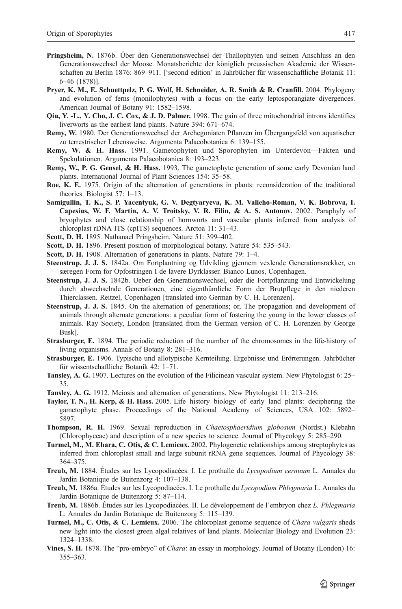- <span id="page-22-0"></span>Pringsheim, N. 1876b. Über den Generationswechsel der Thallophyten und seinen Anschluss an den Generationswechsel der Moose. Monatsberichte der königlich preussischen Akademie der Wissenschaften zu Berlin 1876: 869–911. ['second edition' in Jahrbücher für wissenschaftliche Botanik 11: 6–46 (1878)].
- Pryer, K. M., E. Schuettpelz, P. G. Wolf, H. Schneider, A. R. Smith & R. Cranfill. 2004. Phylogeny and evolution of ferns (monilophytes) with a focus on the early leptosporangiate divergences. American Journal of Botany 91: 1582–1598.
- Qiu, Y. -L., Y. Cho, J. C. Cox, & J. D. Palmer. 1998. The gain of three mitochondrial introns identifies liverworts as the earliest land plants. Nature 394: 671–674.
- Remy, W. 1980. Der Generationswechsel der Archegoniaten Pflanzen im Übergangsfeld von aquatischer zu terrestrischer Lebensweise. Argumenta Palaeobotanica 6: 139–155.
- Remy, W. & H. Hass. 1991. Gametophyten und Sporophyten im Unterdevon—Fakten und Spekulationen. Argumenta Palaeobotanica 8: 193–223.
- Remy, W., P. G. Gensel, & H. Hass. 1993. The gametophyte generation of some early Devonian land plants. International Journal of Plant Sciences 154: 35–58.
- Roe, K. E. 1975. Origin of the alternation of generations in plants: reconsideration of the traditional theories. Biologist 57: 1–13.
- Samigullin, T. K., S. P. Yacentyuk, G. V. Degtyaryeva, K. M. Valieho-Roman, V. K. Bobrova, I. Capesius, W. F. Martin, A. V. Troitsky, V. R. Filin, & A. S. Antonov. 2002. Paraphyly of bryophytes and close relationship of hornworts and vascular plants inferred from analysis of chloroplast rDNA ITS (cpITS) sequences. Arctoa 11: 31–43.
- Scott, D. H. 1895. Nathanael Pringsheim. Nature 51: 399–402.
- Scott, D. H. 1896. Present position of morphological botany. Nature 54: 535–543.
- Scott, D. H. 1908. Alternation of generations in plants. Nature 79: 1-4.
- Steenstrup, J. J. S. 1842a. Om Fortplantning og Udvikling gjennem vexlende Generationsrækker, en særegen Form for Opfostringen I de lavere Dyrklasser. Bianco Lunos, Copenhagen.
- Steenstrup, J. J. S. 1842b. Ueber den Generationswechsel, oder die Fortpflanzung und Entwickelung durch abwechselnde Generationen, eine eigenthümliche Form der Brutpflege in den niederen Thierclassen. Reitzel, Copenhagen [translated into German by C. H. Lorenzen].
- Steenstrup, J. J. S. 1845. On the alternation of generations; or, The propagation and development of animals through alternate generations: a peculiar form of fostering the young in the lower classes of animals. Ray Society, London [translated from the German version of C. H. Lorenzen by George Busk].
- Strasburger, E. 1894. The periodic reduction of the number of the chromosomes in the life-history of living organisms. Annals of Botany 8: 281–316.
- Strasburger, E. 1906. Typische und allotypische Kernteilung. Ergebnisse und Erörterungen. Jahrbücher für wissentschaftliche Botanik 42: 1–71.
- Tansley, A. G. 1907. Lectures on the evolution of the Filicinean vascular system. New Phytologist 6: 25– 35.
- Tansley, A. G. 1912. Meiosis and alternation of generations. New Phytologist 11: 213–216.
- Taylor, T. N., H. Kerp, & H. Hass. 2005. Life history biology of early land plants: deciphering the gametophyte phase. Proceedings of the National Academy of Sciences, USA 102: 5892– 5897.
- Thompson, R. H. 1969. Sexual reproduction in Chaetosphaeridium globosum (Nordst.) Klebahn (Chlorophyceae) and description of a new species to science. Journal of Phycology 5: 285–290.
- Turmel, M., M. Ehara, C. Otis, & C. Lemieux. 2002. Phylogenetic relationships among streptophytes as inferred from chloroplast small and large subunit rRNA gene sequences. Journal of Phycology 38: 364–375.
- Treub, M. 1884. Études sur les Lycopodiacées. I. Le prothalle du Lycopodium cernuum L. Annales du Jardin Botanique de Buitenzorg 4: 107–138.
- Treub, M. 1886a. Études sur les Lycopodiacées. I. Le prothalle du Lycopodium Phlegmaria L. Annales du Jardin Botanique de Buitenzorg 5: 87–114.
- Treub, M. 1886b. Études sur les Lycopodiacées. II. Le développement de l'embryon chez L. Phlegmaria L. Annales du Jardin Botanique de Buitenzorg 5: 115–139.
- Turmel, M., C. Otis, & C. Lemieux. 2006. The chloroplast genome sequence of Chara vulgaris sheds new light into the closest green algal relatives of land plants. Molecular Biology and Evolution 23: 1324–1338.
- Vines, S. H. 1878. The "pro-embryo" of Chara: an essay in morphology. Journal of Botany (London) 16: 355–363.